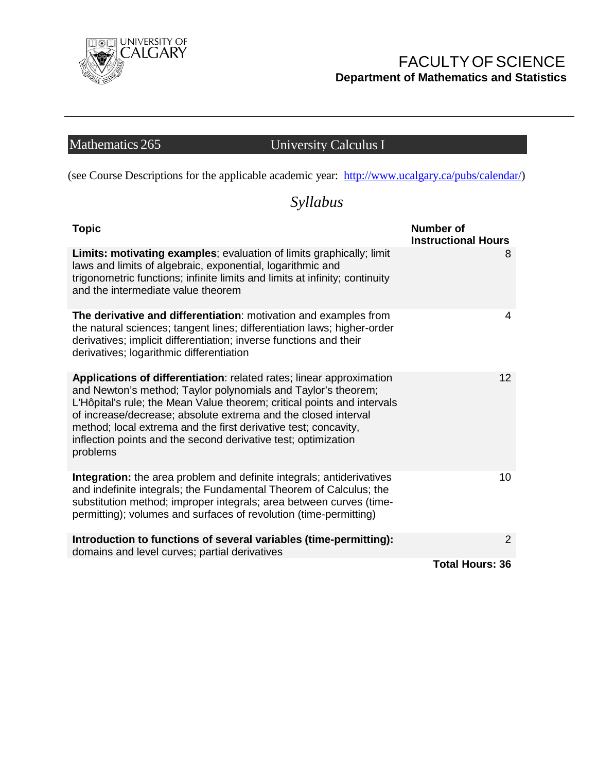

### FACULTYOFSCIENCE **Department of Mathematics and Statistics**

# Mathematics 265 University Calculus I

(see Course Descriptions for the applicable academic year: [http://www.ucalgary.ca/pubs/calendar/\)](http://www.ucalgary.ca/pubs/calendar/)

## *Syllabus*

| <b>Topic</b>                                                                                                                                                                                                                                                                                                                                                                                                                        | <b>Number of</b><br><b>Instructional Hours</b> |
|-------------------------------------------------------------------------------------------------------------------------------------------------------------------------------------------------------------------------------------------------------------------------------------------------------------------------------------------------------------------------------------------------------------------------------------|------------------------------------------------|
| Limits: motivating examples; evaluation of limits graphically; limit<br>laws and limits of algebraic, exponential, logarithmic and<br>trigonometric functions; infinite limits and limits at infinity; continuity<br>and the intermediate value theorem                                                                                                                                                                             | 8                                              |
| The derivative and differentiation: motivation and examples from<br>the natural sciences; tangent lines; differentiation laws; higher-order<br>derivatives; implicit differentiation; inverse functions and their<br>derivatives; logarithmic differentiation                                                                                                                                                                       | 4                                              |
| Applications of differentiation: related rates; linear approximation<br>and Newton's method; Taylor polynomials and Taylor's theorem;<br>L'Hôpital's rule; the Mean Value theorem; critical points and intervals<br>of increase/decrease; absolute extrema and the closed interval<br>method; local extrema and the first derivative test; concavity,<br>inflection points and the second derivative test; optimization<br>problems | 12                                             |
| Integration: the area problem and definite integrals; antiderivatives<br>and indefinite integrals; the Fundamental Theorem of Calculus; the<br>substitution method; improper integrals; area between curves (time-<br>permitting); volumes and surfaces of revolution (time-permitting)                                                                                                                                             | 10 <sup>1</sup>                                |
| Introduction to functions of several variables (time-permitting):<br>domains and level curves; partial derivatives                                                                                                                                                                                                                                                                                                                  | 2                                              |
|                                                                                                                                                                                                                                                                                                                                                                                                                                     | <b>Total Hours: 36</b>                         |